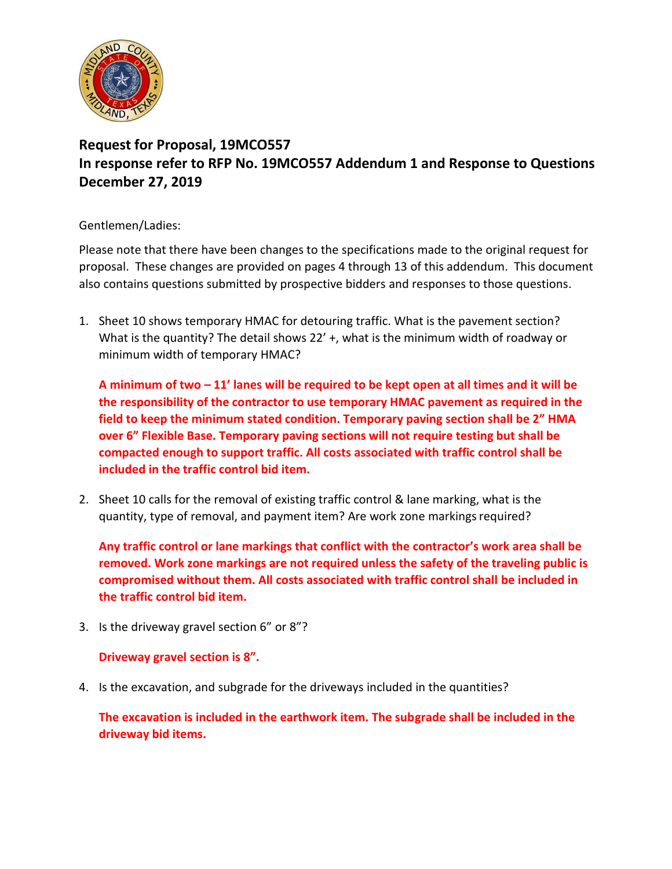

## **Request for Proposal, 19MCO557 In response refer to RFP No. 19MCO557 Addendum 1 and Response to Questions December 27, 2019**

### Gentlemen/Ladies:

Please note that there have been changes to the specifications made to the original request for proposal. These changes are provided on pages 4 through 13 of this addendum. This document also contains questions submitted by prospective bidders and responses to those questions.

1. Sheet 10 shows temporary HMAC for detouring traffic. What is the pavement section? What is the quantity? The detail shows 22' +, what is the minimum width of roadway or minimum width of temporary HMAC?

**A minimum of two – 11' lanes will be required to be kept open at all times and it will be the responsibility of the contractor to use temporary HMAC pavement as required in the field to keep the minimum stated condition. Temporary paving section shall be 2" HMA over 6" Flexible Base. Temporary paving sections will not require testing but shall be compacted enough to support traffic. All costs associated with traffic control shall be included in the traffic control bid item.**

2. Sheet 10 calls for the removal of existing traffic control & lane marking, what is the quantity, type of removal, and payment item? Are work zone markings required?

**Any traffic control or lane markings that conflict with the contractor's work area shall be removed. Work zone markings are not required unless the safety of the traveling public is compromised without them. All costs associated with traffic control shall be included in the traffic control bid item.**

3. Is the driveway gravel section 6" or 8"?

### **Driveway gravel section is 8".**

4. Is the excavation, and subgrade for the driveways included in the quantities?

**The excavation is included in the earthwork item. The subgrade shall be included in the driveway bid items.**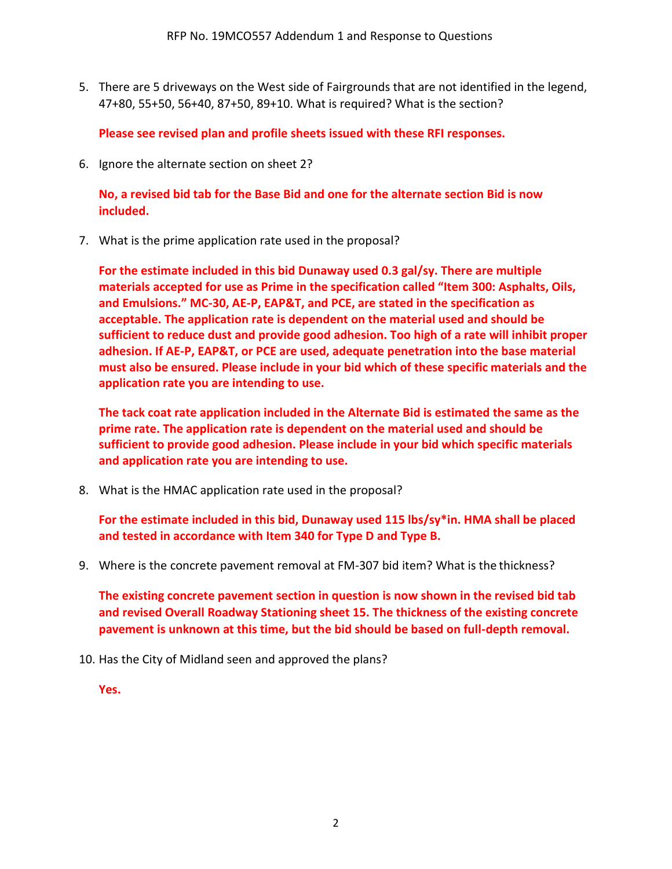5. There are 5 driveways on the West side of Fairgrounds that are not identified in the legend, 47+80, 55+50, 56+40, 87+50, 89+10. What is required? What is the section?

**Please see revised plan and profile sheets issued with these RFI responses.**

6. Ignore the alternate section on sheet 2?

**No, a revised bid tab for the Base Bid and one for the alternate section Bid is now included.**

7. What is the prime application rate used in the proposal?

**For the estimate included in this bid Dunaway used 0.3 gal/sy. There are multiple materials accepted for use as Prime in the specification called "Item 300: Asphalts, Oils, and Emulsions." MC-30, AE-P, EAP&T, and PCE, are stated in the specification as acceptable. The application rate is dependent on the material used and should be sufficient to reduce dust and provide good adhesion. Too high of a rate will inhibit proper adhesion. If AE-P, EAP&T, or PCE are used, adequate penetration into the base material must also be ensured. Please include in your bid which of these specific materials and the application rate you are intending to use.**

**The tack coat rate application included in the Alternate Bid is estimated the same as the prime rate. The application rate is dependent on the material used and should be sufficient to provide good adhesion. Please include in your bid which specific materials and application rate you are intending to use.**

8. What is the HMAC application rate used in the proposal?

**For the estimate included in this bid, Dunaway used 115 lbs/sy\*in. HMA shall be placed and tested in accordance with Item 340 for Type D and Type B.**

9. Where is the concrete pavement removal at FM-307 bid item? What is the thickness?

**The existing concrete pavement section in question is now shown in the revised bid tab and revised Overall Roadway Stationing sheet 15. The thickness of the existing concrete pavement is unknown at this time, but the bid should be based on full-depth removal.**

10. Has the City of Midland seen and approved the plans?

**Yes.**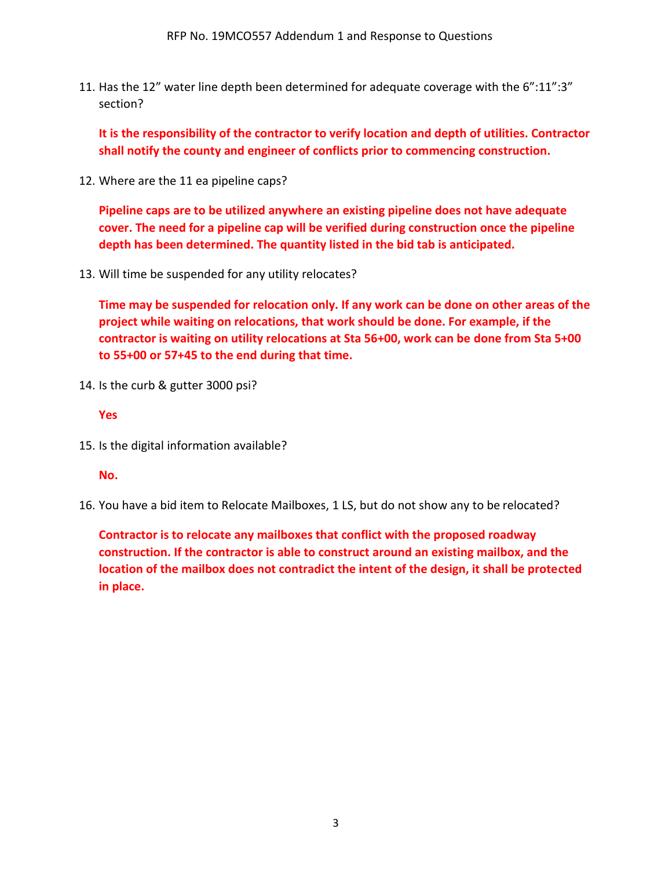11. Has the 12" water line depth been determined for adequate coverage with the 6":11":3" section?

**It is the responsibility of the contractor to verify location and depth of utilities. Contractor shall notify the county and engineer of conflicts prior to commencing construction.**

12. Where are the 11 ea pipeline caps?

**Pipeline caps are to be utilized anywhere an existing pipeline does not have adequate cover. The need for a pipeline cap will be verified during construction once the pipeline depth has been determined. The quantity listed in the bid tab is anticipated.**

13. Will time be suspended for any utility relocates?

**Time may be suspended for relocation only. If any work can be done on other areas of the project while waiting on relocations, that work should be done. For example, if the contractor is waiting on utility relocations at Sta 56+00, work can be done from Sta 5+00 to 55+00 or 57+45 to the end during that time.**

14. Is the curb & gutter 3000 psi?

#### **Yes**

15. Is the digital information available?

#### **No.**

16. You have a bid item to Relocate Mailboxes, 1 LS, but do not show any to be relocated?

**Contractor is to relocate any mailboxes that conflict with the proposed roadway construction. If the contractor is able to construct around an existing mailbox, and the location of the mailbox does not contradict the intent of the design, it shall be protected in place.**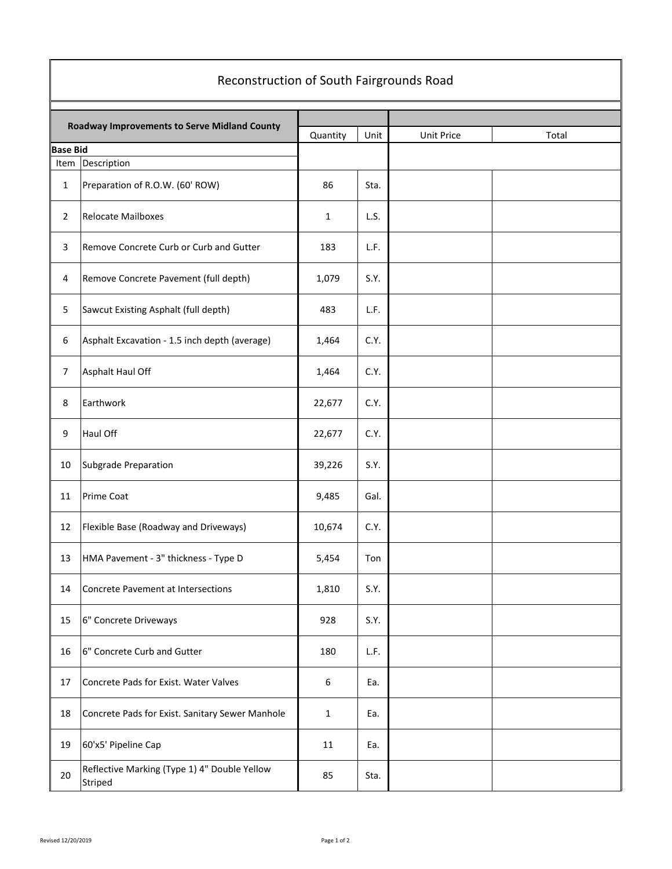# Reconstruction of South Fairgrounds Road

|                 | Roadway Improvements to Serve Midland County            | Quantity     | Unit | Unit Price | Total |
|-----------------|---------------------------------------------------------|--------------|------|------------|-------|
| <b>Base Bid</b> |                                                         |              |      |            |       |
| Item            | Description                                             |              |      |            |       |
| $\mathbf{1}$    | Preparation of R.O.W. (60' ROW)                         | 86           | Sta. |            |       |
| $\overline{2}$  | <b>Relocate Mailboxes</b>                               | $\mathbf{1}$ | L.S. |            |       |
| 3               | Remove Concrete Curb or Curb and Gutter                 | 183          | L.F. |            |       |
| 4               | Remove Concrete Pavement (full depth)                   | 1,079        | S.Y. |            |       |
| 5               | Sawcut Existing Asphalt (full depth)                    | 483          | L.F. |            |       |
| 6               | Asphalt Excavation - 1.5 inch depth (average)           | 1,464        | C.Y. |            |       |
| $\overline{7}$  | Asphalt Haul Off                                        | 1,464        | C.Y. |            |       |
| 8               | Earthwork                                               | 22,677       | C.Y. |            |       |
| 9               | Haul Off                                                | 22,677       | C.Y. |            |       |
| 10              | Subgrade Preparation                                    | 39,226       | S.Y. |            |       |
| 11              | Prime Coat                                              | 9,485        | Gal. |            |       |
| 12              | Flexible Base (Roadway and Driveways)                   | 10,674       | C.Y. |            |       |
| 13              | HMA Pavement - 3" thickness - Type D                    | 5,454        | Ton  |            |       |
| 14              | Concrete Pavement at Intersections                      | 1,810        | S.Y. |            |       |
| 15              | 6" Concrete Driveways                                   | 928          | S.Y. |            |       |
| 16              | 6" Concrete Curb and Gutter                             | 180          | L.F. |            |       |
| 17              | Concrete Pads for Exist. Water Valves                   | 6            | Ea.  |            |       |
| 18              | Concrete Pads for Exist. Sanitary Sewer Manhole         | $\mathbf{1}$ | Ea.  |            |       |
| 19              | 60'x5' Pipeline Cap                                     | 11           | Ea.  |            |       |
| 20              | Reflective Marking (Type 1) 4" Double Yellow<br>Striped | 85           | Sta. |            |       |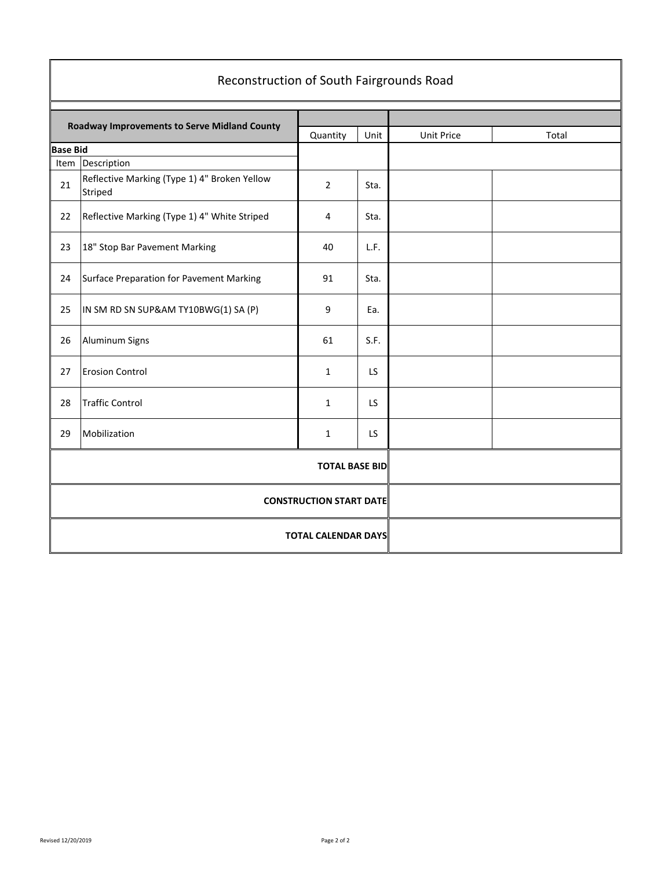|                 | Reconstruction of South Fairgrounds Road                |                       |       |  |  |
|-----------------|---------------------------------------------------------|-----------------------|-------|--|--|
|                 | <b>Roadway Improvements to Serve Midland County</b>     | Unit Price            | Total |  |  |
| <b>Base Bid</b> |                                                         | Quantity              | Unit  |  |  |
| Item            | Description                                             |                       |       |  |  |
| 21              | Reflective Marking (Type 1) 4" Broken Yellow<br>Striped | $\overline{2}$        | Sta.  |  |  |
| 22              | Reflective Marking (Type 1) 4" White Striped            | 4                     | Sta.  |  |  |
| 23              | 18" Stop Bar Pavement Marking                           | 40                    | L.F.  |  |  |
| 24              | Surface Preparation for Pavement Marking                | 91                    | Sta.  |  |  |
| 25              | IN SM RD SN SUP&AM TY10BWG(1) SA (P)                    | 9                     | Ea.   |  |  |
| 26              | Aluminum Signs                                          | 61                    | S.F.  |  |  |
| 27              | <b>Erosion Control</b>                                  | $\mathbf{1}$          | LS    |  |  |
| 28              | <b>Traffic Control</b>                                  | $\mathbf{1}$          | LS    |  |  |
| 29              | Mobilization                                            | 1                     | LS.   |  |  |
|                 |                                                         | <b>TOTAL BASE BID</b> |       |  |  |
|                 | <b>CONSTRUCTION START DATE</b>                          |                       |       |  |  |
|                 | <b>TOTAL CALENDAR DAYS</b>                              |                       |       |  |  |

#### Revised 12/20/2019 Page 2 of 2